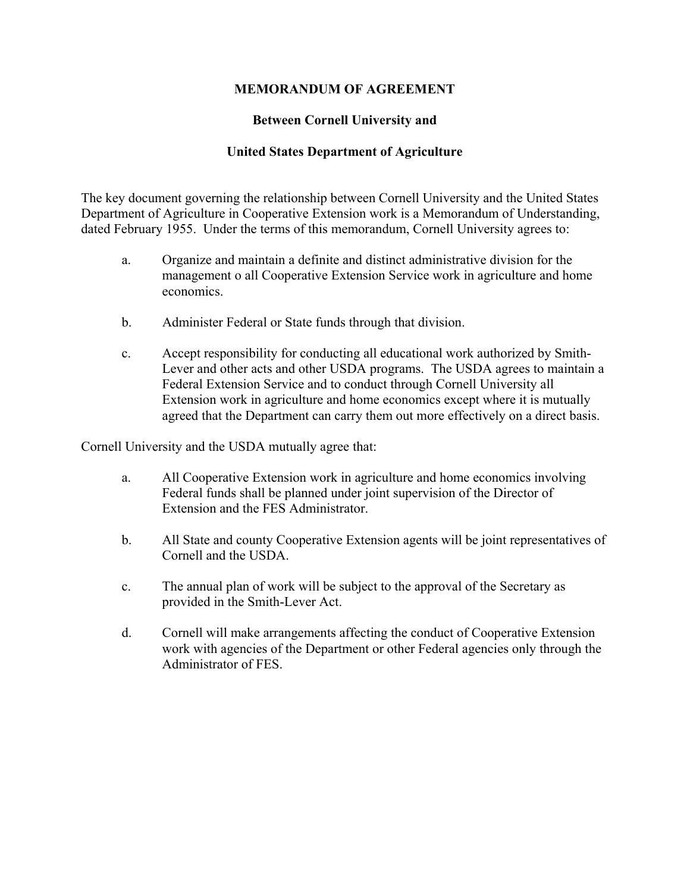## **MEMORANDUM OF AGREEMENT**

## **Between Cornell University and**

#### **United States Department of Agriculture**

The key document governing the relationship between Cornell University and the United States Department of Agriculture in Cooperative Extension work is a Memorandum of Understanding, dated February 1955. Under the terms of this memorandum, Cornell University agrees to:

- a. Organize and maintain a definite and distinct administrative division for the management o all Cooperative Extension Service work in agriculture and home economics.
- b. Administer Federal or State funds through that division.
- c. Accept responsibility for conducting all educational work authorized by Smith-Lever and other acts and other USDA programs. The USDA agrees to maintain a Federal Extension Service and to conduct through Cornell University all Extension work in agriculture and home economics except where it is mutually agreed that the Department can carry them out more effectively on a direct basis.

Cornell University and the USDA mutually agree that:

- a. All Cooperative Extension work in agriculture and home economics involving Federal funds shall be planned under joint supervision of the Director of Extension and the FES Administrator.
- b. All State and county Cooperative Extension agents will be joint representatives of Cornell and the USDA.
- c. The annual plan of work will be subject to the approval of the Secretary as provided in the Smith-Lever Act.
- d. Cornell will make arrangements affecting the conduct of Cooperative Extension work with agencies of the Department or other Federal agencies only through the Administrator of FES.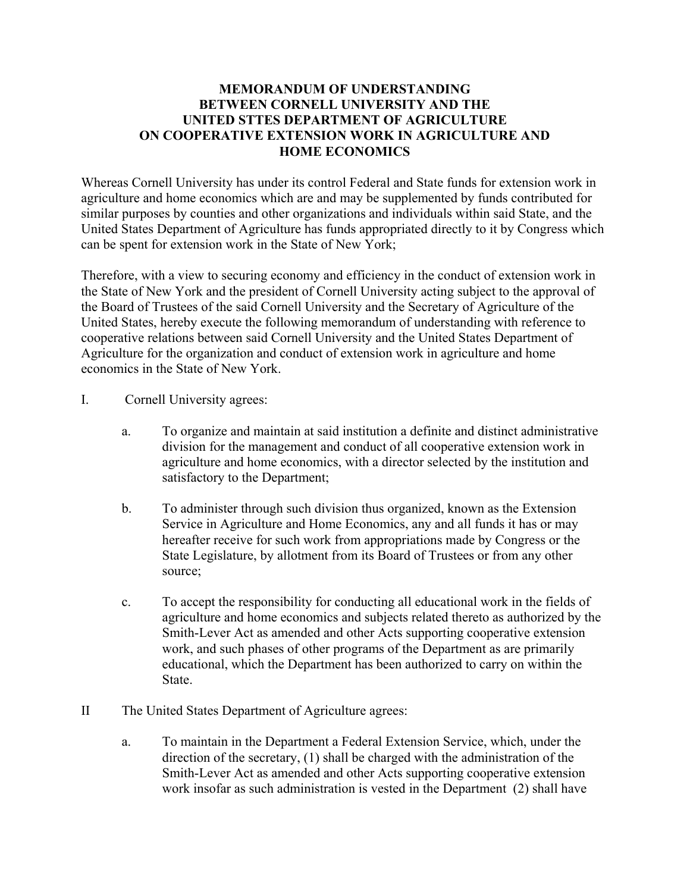## **MEMORANDUM OF UNDERSTANDING BETWEEN CORNELL UNIVERSITY AND THE UNITED STTES DEPARTMENT OF AGRICULTURE ON COOPERATIVE EXTENSION WORK IN AGRICULTURE AND HOME ECONOMICS**

Whereas Cornell University has under its control Federal and State funds for extension work in agriculture and home economics which are and may be supplemented by funds contributed for similar purposes by counties and other organizations and individuals within said State, and the United States Department of Agriculture has funds appropriated directly to it by Congress which can be spent for extension work in the State of New York;

Therefore, with a view to securing economy and efficiency in the conduct of extension work in the State of New York and the president of Cornell University acting subject to the approval of the Board of Trustees of the said Cornell University and the Secretary of Agriculture of the United States, hereby execute the following memorandum of understanding with reference to cooperative relations between said Cornell University and the United States Department of Agriculture for the organization and conduct of extension work in agriculture and home economics in the State of New York.

- I. Cornell University agrees:
	- a. To organize and maintain at said institution a definite and distinct administrative division for the management and conduct of all cooperative extension work in agriculture and home economics, with a director selected by the institution and satisfactory to the Department;
	- b. To administer through such division thus organized, known as the Extension Service in Agriculture and Home Economics, any and all funds it has or may hereafter receive for such work from appropriations made by Congress or the State Legislature, by allotment from its Board of Trustees or from any other source;
	- c. To accept the responsibility for conducting all educational work in the fields of agriculture and home economics and subjects related thereto as authorized by the Smith-Lever Act as amended and other Acts supporting cooperative extension work, and such phases of other programs of the Department as are primarily educational, which the Department has been authorized to carry on within the State.
- II The United States Department of Agriculture agrees:
	- a. To maintain in the Department a Federal Extension Service, which, under the direction of the secretary, (1) shall be charged with the administration of the Smith-Lever Act as amended and other Acts supporting cooperative extension work insofar as such administration is vested in the Department (2) shall have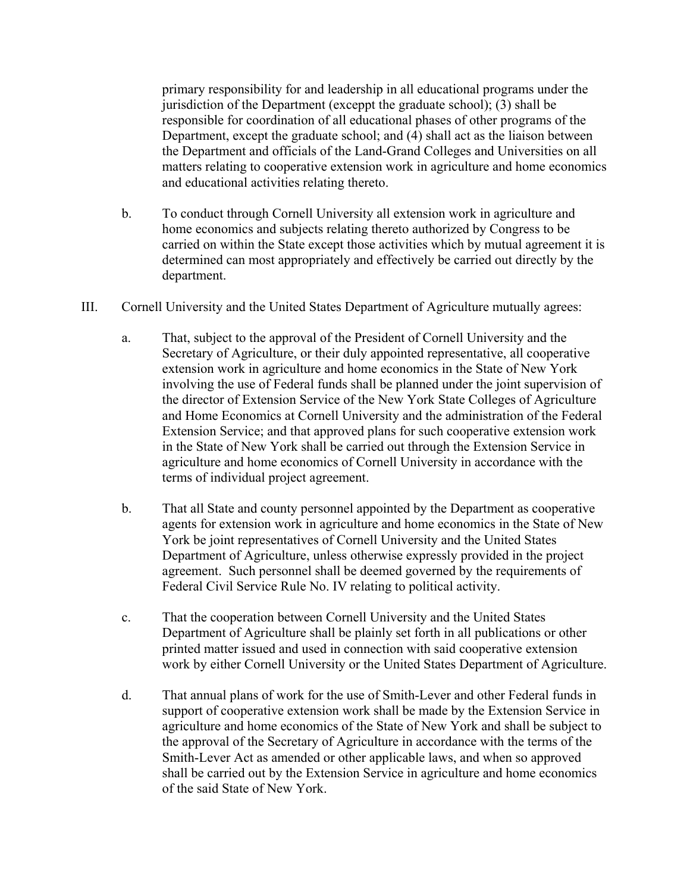primary responsibility for and leadership in all educational programs under the jurisdiction of the Department (exceppt the graduate school); (3) shall be responsible for coordination of all educational phases of other programs of the Department, except the graduate school; and (4) shall act as the liaison between the Department and officials of the Land-Grand Colleges and Universities on all matters relating to cooperative extension work in agriculture and home economics and educational activities relating thereto.

- b. To conduct through Cornell University all extension work in agriculture and home economics and subjects relating thereto authorized by Congress to be carried on within the State except those activities which by mutual agreement it is determined can most appropriately and effectively be carried out directly by the department.
- III. Cornell University and the United States Department of Agriculture mutually agrees:
	- a. That, subject to the approval of the President of Cornell University and the Secretary of Agriculture, or their duly appointed representative, all cooperative extension work in agriculture and home economics in the State of New York involving the use of Federal funds shall be planned under the joint supervision of the director of Extension Service of the New York State Colleges of Agriculture and Home Economics at Cornell University and the administration of the Federal Extension Service; and that approved plans for such cooperative extension work in the State of New York shall be carried out through the Extension Service in agriculture and home economics of Cornell University in accordance with the terms of individual project agreement.
	- b. That all State and county personnel appointed by the Department as cooperative agents for extension work in agriculture and home economics in the State of New York be joint representatives of Cornell University and the United States Department of Agriculture, unless otherwise expressly provided in the project agreement. Such personnel shall be deemed governed by the requirements of Federal Civil Service Rule No. IV relating to political activity.
	- c. That the cooperation between Cornell University and the United States Department of Agriculture shall be plainly set forth in all publications or other printed matter issued and used in connection with said cooperative extension work by either Cornell University or the United States Department of Agriculture.
	- d. That annual plans of work for the use of Smith-Lever and other Federal funds in support of cooperative extension work shall be made by the Extension Service in agriculture and home economics of the State of New York and shall be subject to the approval of the Secretary of Agriculture in accordance with the terms of the Smith-Lever Act as amended or other applicable laws, and when so approved shall be carried out by the Extension Service in agriculture and home economics of the said State of New York.